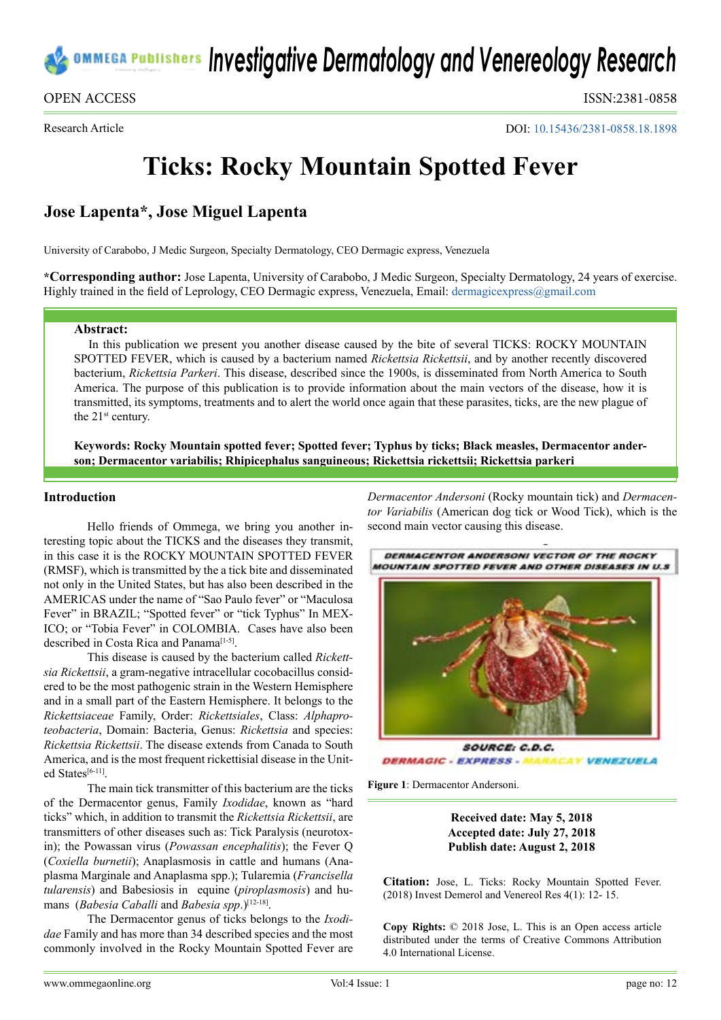

Research Article

OPEN ACCESS ISSN:2381-0858

DOI: [10.15436/2381-0858.18.1898](https://doi.org/10.15436/2381-0858.18.1898)

# **Ticks: Rocky Mountain Spotted Fever**

# **Jose Lapenta\*, Jose Miguel Lapenta**

University of Carabobo, J Medic Surgeon, Specialty Dermatology, CEO Dermagic express, Venezuela

**\*Corresponding author:** Jose Lapenta, University of Carabobo, J Medic Surgeon, Specialty Dermatology, 24 years of exercise. Highly trained in the field of Leprology, CEO Dermagic express, Venezuela, Email: [dermagicexpress@gmail.com](mailto:dermagicexpress@gmail.com)

#### **Abstract:**

In this publication we present you another disease caused by the bite of several TICKS: ROCKY MOUNTAIN SPOTTED FEVER, which is caused by a bacterium named *Rickettsia Rickettsii*, and by another recently discovered bacterium, *Rickettsia Parkeri*. This disease, described since the 1900s, is disseminated from North America to South America. The purpose of this publication is to provide information about the main vectors of the disease, how it is transmitted, its symptoms, treatments and to alert the world once again that these parasites, ticks, are the new plague of the 21<sup>st</sup> century.

**Keywords: Rocky Mountain spotted fever; Spotted fever; Typhus by ticks; Black measles, Dermacentor anderson; Dermacentor variabilis; Rhipicephalus sanguineous; Rickettsia rickettsii; Rickettsia parkeri**

#### **Introduction**

Hello friends of Ommega, we bring you another interesting topic about the TICKS and the diseases they transmit, in this case it is the ROCKY MOUNTAIN SPOTTED FEVER (RMSF), which is transmitted by the a tick bite and disseminated not only in the United States, but has also been described in the AMERICAS under the name of "Sao Paulo fever" or "Maculosa Fever" in BRAZIL; "Spotted fever" or "tick Typhus" In MEX-ICO; or "Tobia Fever" in COLOMBIA. Cases have also been described in Costa Rica and Panama<sup>[1-5]</sup>.

This disease is caused by the bacterium called *Rickettsia Rickettsii*, a gram-negative intracellular cocobacillus considered to be the most pathogenic strain in the Western Hemisphere and in a small part of the Eastern Hemisphere. It belongs to the *Rickettsiaceae* Family, Order: *Rickettsiales*, Class: *Alphaproteobacteria*, Domain: Bacteria, Genus: *Rickettsia* and species: *Rickettsia Rickettsii*. The disease extends from Canada to South America, and is the most frequent rickettisial disease in the Unit-ed States<sup>[\[6-11\]](#page-2-1)</sup>

The main tick transmitter of this bacterium are the ticks of the Dermacentor genus, Family *Ixodidae*, known as "hard ticks" which, in addition to transmit the *Rickettsia Rickettsii*, are transmitters of other diseases such as: Tick Paralysis (neurotoxin); the Powassan virus (*Powassan encephalitis*); the Fever Q (*Coxiella burnetii*); Anaplasmosis in cattle and humans (Anaplasma Marginale and Anaplasma spp.); Tularemia (*Francisella tularensis*) and Babesiosis in equine (*piroplasmosis*) and humans (*Babesia Caballi* and *Babesia spp.*)<sup>[12-18]</sup>.

The Dermacentor genus of ticks belongs to the *Ixodidae* Family and has more than 34 described species and the most commonly involved in the Rocky Mountain Spotted Fever are *Dermacentor Andersoni* (Rocky mountain tick) and *Dermacentor Variabilis* (American dog tick or Wood Tick), which is the second main vector causing this disease.



**CAY VENEZUELA DERMAGIC - EXPRESS -**

**Figure 1**: Dermacentor Andersoni.

### **Received date: May 5, 2018 Accepted date: July 27, 2018 Publish date: August 2, 2018**

**Citation:** Jose, L. Ticks: Rocky Mountain Spotted Fever. (2018) Invest Demerol and Venereol Res 4(1): 12- 15.

**Copy Rights:** © 2018 Jose, L. This is an Open access article distributed under the terms of Creative Commons Attribution 4.0 International License.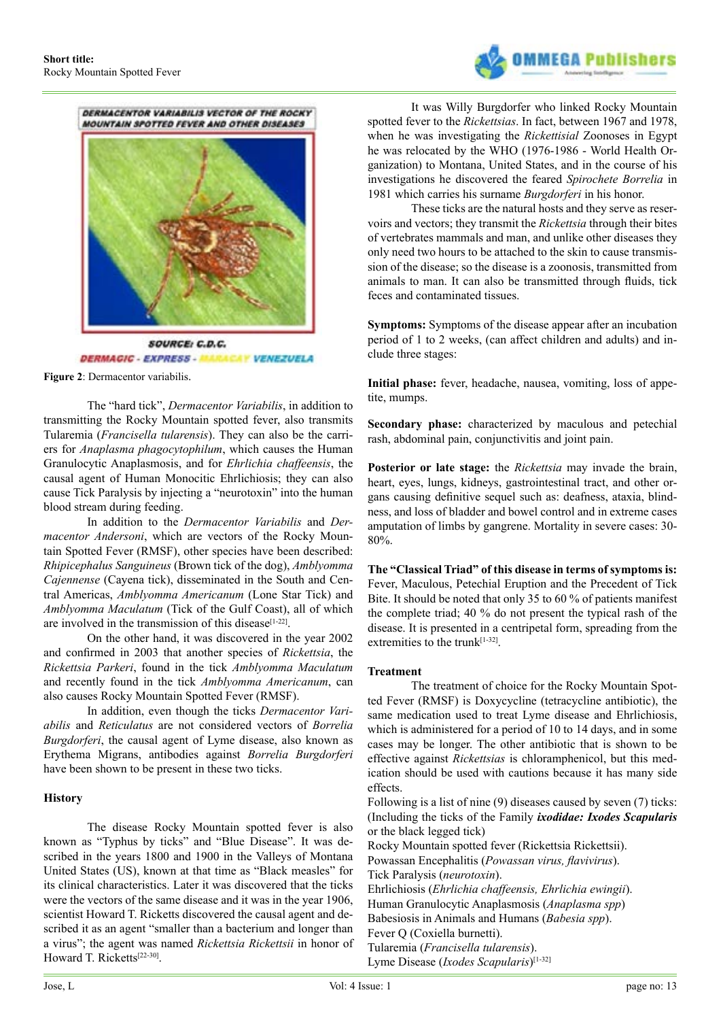

DERMACENTOR VARIABILIS VECTOR OF THE ROCKY MOUNTAIN SPOTTED FEVER AND OTHER DISEASES **SOURCE: C.D.C. MACAY VENEZUELA DERMAGIC - EXPRESS - AL** 

**Figure 2**: Dermacentor variabilis.

The "hard tick", *Dermacentor Variabilis*, in addition to transmitting the Rocky Mountain spotted fever, also transmits Tularemia (*Francisella tularensis*). They can also be the carriers for *Anaplasma phagocytophilum*, which causes the Human Granulocytic Anaplasmosis, and for *Ehrlichia chaffeensis*, the causal agent of Human Monocitic Ehrlichiosis; they can also cause Tick Paralysis by injecting a "neurotoxin" into the human blood stream during feeding.

In addition to the *Dermacentor Variabilis* and *Dermacentor Andersoni*, which are vectors of the Rocky Mountain Spotted Fever (RMSF), other species have been described: *Rhipicephalus Sanguineus* (Brown tick of the dog), *Amblyomma Cajennense* (Cayena tick), disseminated in the South and Central Americas, *Amblyomma Americanum* (Lone Star Tick) and *Amblyomma Maculatum* (Tick of the Gulf Coast), all of which are involved in the transmission of this disease $[1-22]$ .

On the other hand, it was discovered in the year 2002 and confirmed in 2003 that another species of *Rickettsia*, the *Rickettsia Parkeri*, found in the tick *Amblyomma Maculatum*  and recently found in the tick *Amblyomma Americanum*, can also causes Rocky Mountain Spotted Fever (RMSF).

In addition, even though the ticks *Dermacentor Variabilis* and *Reticulatus* are not considered vectors of *Borrelia Burgdorferi*, the causal agent of Lyme disease, also known as Erythema Migrans, antibodies against *Borrelia Burgdorferi* have been shown to be present in these two ticks.

#### **History**

The disease Rocky Mountain spotted fever is also known as "Typhus by ticks" and "Blue Disease". It was described in the years 1800 and 1900 in the Valleys of Montana United States (US), known at that time as "Black measles" for its clinical characteristics. Later it was discovered that the ticks were the vectors of the same disease and it was in the year 1906, scientist Howard T. Ricketts discovered the causal agent and described it as an agent "smaller than a bacterium and longer than a virus"; the agent was named *Rickettsia Rickettsii* in honor of Howard T. Ricketts<sup>[\[22-30\]](#page-3-0)</sup>.

It was Willy Burgdorfer who linked Rocky Mountain spotted fever to the *Rickettsias*. In fact, between 1967 and 1978, when he was investigating the *Rickettisial* Zoonoses in Egypt he was relocated by the WHO (1976-1986 - World Health Organization) to Montana, United States, and in the course of his investigations he discovered the feared *Spirochete Borrelia* in 1981 which carries his surname *Burgdorferi* in his honor.

These ticks are the natural hosts and they serve as reservoirs and vectors; they transmit the *Rickettsia* through their bites of vertebrates mammals and man, and unlike other diseases they only need two hours to be attached to the skin to cause transmission of the disease; so the disease is a zoonosis, transmitted from animals to man. It can also be transmitted through fluids, tick feces and contaminated tissues.

**Symptoms:** Symptoms of the disease appear after an incubation period of 1 to 2 weeks, (can affect children and adults) and include three stages:

**Initial phase:** fever, headache, nausea, vomiting, loss of appetite, mumps.

**Secondary phase:** characterized by maculous and petechial rash, abdominal pain, conjunctivitis and joint pain.

**Posterior or late stage:** the *Rickettsia* may invade the brain, heart, eyes, lungs, kidneys, gastrointestinal tract, and other organs causing definitive sequel such as: deafness, ataxia, blindness, and loss of bladder and bowel control and in extreme cases amputation of limbs by gangrene. Mortality in severe cases: 30- 80%.

**The "Classical Triad" of this disease in terms of symptoms is:**  Fever, Maculous, Petechial Eruption and the Precedent of Tick Bite. It should be noted that only 35 to 60 % of patients manifest the complete triad; 40 % do not present the typical rash of the disease. It is presented in a centripetal form, spreading from the extremities to the trunk<sup>[\[1-32\]](#page-2-0)</sup>.

#### **Treatment**

The treatment of choice for the Rocky Mountain Spotted Fever (RMSF) is Doxycycline (tetracycline antibiotic), the same medication used to treat Lyme disease and Ehrlichiosis, which is administered for a period of 10 to 14 days, and in some cases may be longer. The other antibiotic that is shown to be effective against *Rickettsias* is chloramphenicol, but this medication should be used with cautions because it has many side effects.

Following is a list of nine (9) diseases caused by seven (7) ticks: (Including the ticks of the Family *ixodidae: Ixodes Scapularis* or the black legged tick)

Rocky Mountain spotted fever (Rickettsia Rickettsii). Powassan Encephalitis (*Powassan virus, flavivirus*). Tick Paralysis (*neurotoxin*). Ehrlichiosis (*Ehrlichia chaffeensis, Ehrlichia ewingii*). Human Granulocytic Anaplasmosis (*Anaplasma spp*) Babesiosis in Animals and Humans (*Babesia spp*). Fever Q (Coxiella burnetti). Tularemia (*Francisella tularensis*). Lyme Disease (*Ixodes Scapularis*)[\[1-32\]](#page-2-0)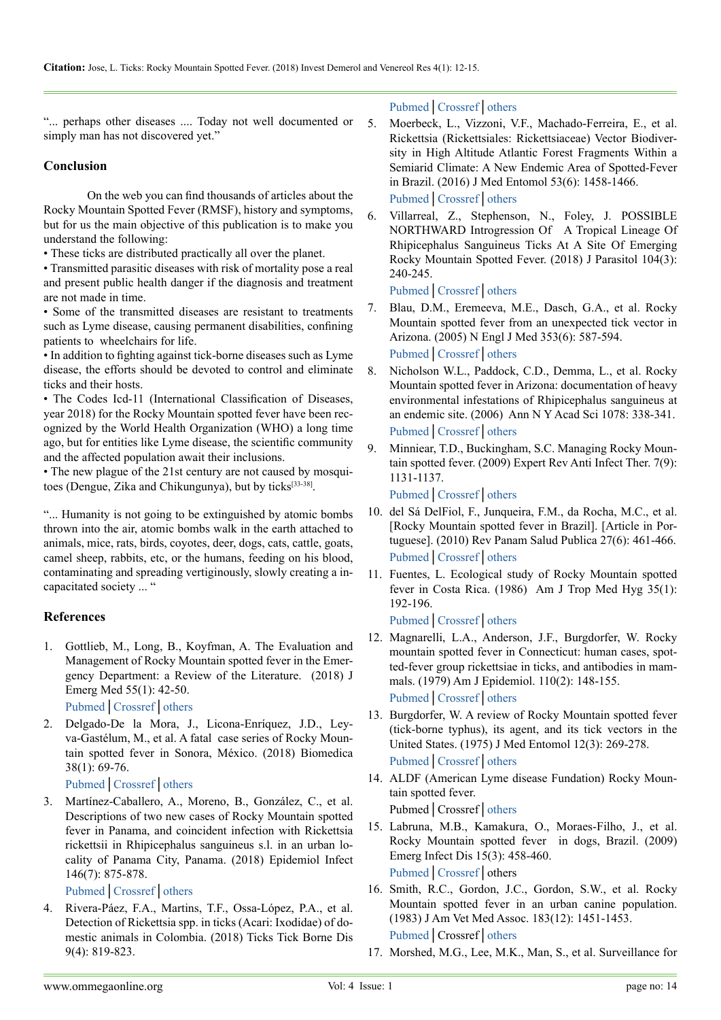"... perhaps other diseases .... Today not well documented or simply man has not discovered yet."

## **Conclusion**

On the web you can find thousands of articles about the Rocky Mountain Spotted Fever (RMSF), history and symptoms, but for us the main objective of this publication is to make you understand the following:

• These ticks are distributed practically all over the planet.

• Transmitted parasitic diseases with risk of mortality pose a real and present public health danger if the diagnosis and treatment are not made in time.

• Some of the transmitted diseases are resistant to treatments such as Lyme disease, causing permanent disabilities, confining patients to wheelchairs for life.

• In addition to fighting against tick-borne diseases such as Lyme disease, the efforts should be devoted to control and eliminate ticks and their hosts.

• The Codes Icd-11 (International Classification of Diseases, year 2018) for the Rocky Mountain spotted fever have been recognized by the World Health Organization (WHO) a long time ago, but for entities like Lyme disease, the scientific community and the affected population await their inclusions.

• The new plague of the 21st century are not caused by mosquitoes (Dengue, Zika and Chikungunya), but by ticks[\[33-38\]](#page-3-1).

"... Humanity is not going to be extinguished by atomic bombs thrown into the air, atomic bombs walk in the earth attached to animals, mice, rats, birds, coyotes, deer, dogs, cats, cattle, goats, camel sheep, rabbits, etc, or the humans, feeding on his blood, contaminating and spreading vertiginously, slowly creating a incapacitated society ... "

# **References**

<span id="page-2-0"></span>1. Gottlieb, M., Long, B., Koyfman, A. The Evaluation and Management of Rocky Mountain spotted fever in the Emergency Department: a Review of the Literature. (2018) J Emerg Med 55(1): 42-50.

[Pubmed](https://www.ncbi.nlm.nih.gov/pubmed/29685474)│[Crossref](https://doi.org/10.1016/j.jemermed.2018.02.043)│[others](https://www.jem-journal.com/article/S0736-4679(18)30230-0/abstract)

2. Delgado-De la Mora, J., Licona-Enríquez, J.D., Leyva-Gastélum, M., et al. A fatal case series of Rocky Mountain spotted fever in Sonora, México. (2018) Biomedica 38(1): 69-76.

[Pubmed](https://www.ncbi.nlm.nih.gov/pubmed/29668136)│[Crossref](https://doi.org/10.7705/biomedica.v38i0.3507)│[others](https://europepmc.org/abstract/med/29668136)

3. Martínez-Caballero, A., Moreno, B., González, C., et al. Descriptions of two new cases of Rocky Mountain spotted fever in Panama, and coincident infection with Rickettsia rickettsii in Rhipicephalus sanguineus s.l. in an urban locality of Panama City, Panama. (2018) Epidemiol Infect 146(7): 875-878.

[Pubmed](https://www.ncbi.nlm.nih.gov/pubmed/29619916)│[Crossref](https://doi.org/10.1017/S0950268818000730)│[others](https://www.cambridge.org/core/journals/epidemiology-and-infection/article/descriptions-of-two-new-cases-of-rocky-mountain-spotted-fever-in-panama-and-coincident-infection-with-rickettsia-rickettsii-in-rhipicephalus-sanguineus-sl-in-an-urban-locality-of-pa)

4. Rivera-Páez, F.A., Martins, T.F., Ossa-López, P.A., et al. Detection of Rickettsia spp. in ticks (Acari: Ixodidae) of domestic animals in Colombia. (2018) Ticks Tick Borne Dis 9(4): 819-823.

[Pubmed](https://www.ncbi.nlm.nih.gov/pubmed/29550216)│[Crossref](https://doi.org/10.1016/j.ttbdis.2018.03.006)│[others](https://www.sciencedirect.com/science/article/pii/S1877959X17304788)

- 5. Moerbeck, L., Vizzoni, V.F., Machado-Ferreira, E., et al. Rickettsia (Rickettsiales: Rickettsiaceae) Vector Biodiversity in High Altitude Atlantic Forest Fragments Within a Semiarid Climate: A New Endemic Area of Spotted-Fever in Brazil. (2016) J Med Entomol 53(6): 1458-1466. [Pubmed](https://www.ncbi.nlm.nih.gov/pubmed/27480099)│[Crossref](https://doi.org/10.1093/jme/tjw121)│[others](https://academic.oup.com/jme/article-abstract/53/6/1458/2658164)
- <span id="page-2-1"></span>6. Villarreal, Z., Stephenson, N., Foley, J. POSSIBLE NORTHWARD Introgression Of A Tropical Lineage Of Rhipicephalus Sanguineus Ticks At A Site Of Emerging Rocky Mountain Spotted Fever. (2018) J Parasitol 104(3): 240-245.

[Pubmed](https://www.ncbi.nlm.nih.gov/pubmed/29553918)│[Crossref](https://doi.org/10.1645/18-10)│[others](http://www.journalofparasitology.org/doi/abs/10.1645/18-10?code=asp-site)

- 7. Blau, D.M., Eremeeva, M.E., Dasch, G.A., et al. Rocky Mountain spotted fever from an unexpected tick vector in Arizona. (2005) N Engl J Med 353(6): 587-594. [Pubmed](https://www.ncbi.nlm.nih.gov/pubmed/16093467)│[Crossref](https://doi.org/10.1056/NEJMoa050043)│[others](https://www.nejm.org/doi/full/10.1056/NEJMoa050043)
- 8. Nicholson W.L., Paddock, C.D., Demma, L., et al. Rocky Mountain spotted fever in Arizona: documentation of heavy environmental infestations of Rhipicephalus sanguineus at an endemic site. (2006) Ann N Y Acad Sci 1078: 338-341. [Pubmed](https://www.ncbi.nlm.nih.gov/pubmed/17114735)│[Crossref](https://doi.org/10.1196/annals.1374.065)│[others](https://nyaspubs.onlinelibrary.wiley.com/doi/abs/10.1196/annals.1374.065)
- 9. Minniear, T.D., Buckingham, S.C. Managing Rocky Mountain spotted fever. (2009) Expert Rev Anti Infect Ther. 7(9): 1131-1137.

[Pubmed](https://www.ncbi.nlm.nih.gov/pubmed/19883333)│[Crossref](https://doi.org/10.1586/eri.09.94)│[others](https://www.tandfonline.com/doi/abs/10.1586/eri.09.94)

- 10. del Sá DelFiol, F., Junqueira, F.M., da Rocha, M.C., et al. [Rocky Mountain spotted fever in Brazil]. [Article in Portuguese]. (2010) Rev Panam Salud Publica 27(6): 461-466. [Pubmed](https://www.ncbi.nlm.nih.gov/pubmed/20721447)│[Crossref](https://doi.org/10.1590/S1020-49892010000600008)│[others](https://www.cabdirect.org/cabdirect/abstract/20103244393)
- 11. Fuentes, L. Ecological study of Rocky Mountain spotted fever in Costa Rica. (1986) Am J Trop Med Hyg 35(1): 192-196.

<span id="page-2-2"></span>[Pubmed](https://www.ncbi.nlm.nih.gov/pubmed/3080917)│[Crossref](https://doi.org/10.4269/ajtmh.1986.35.192)│[others](https://www.ajtmh.org/content/journals/10.4269/ajtmh.1986.35.192)

- 12. Magnarelli, L.A., Anderson, J.F., Burgdorfer, W. Rocky mountain spotted fever in Connecticut: human cases, spotted-fever group rickettsiae in ticks, and antibodies in mammals. (1979) Am J Epidemiol. 110(2): 148-155. [Pubmed](https://www.ncbi.nlm.nih.gov/pubmed/111543)│[Crossref](https://doi.org/10.1093/oxfordjournals.aje.a112799)│[others](https://academic.oup.com/aje/article-abstract/110/2/148/57689)
- 13. Burgdorfer, W. A review of Rocky Mountain spotted fever (tick-borne typhus), its agent, and its tick vectors in the United States. (1975) J Med Entomol 12(3): 269-278. [Pubmed](https://www.ncbi.nlm.nih.gov/pubmed/810584)│[Crossref](https://doi.org/10.1093/jmedent/12.3.269)│[others](https://academic.oup.com/jme/article-abstract/12/3/269/2219189)
- 14. ALDF (American Lyme disease Fundation) Rocky Mountain spotted fever.

Pubmed│Crossref│[others](http://www.aldf.com/lyme-disease/)

- 15. Labruna, M.B., Kamakura, O., Moraes-Filho, J., et al. Rocky Mountain spotted fever in dogs, Brazil. (2009) Emerg Infect Dis 15(3): 458-460. [Pubmed](https://www.ncbi.nlm.nih.gov/pubmed/19239764)│[Crossref](https://doi.org/10.3201/eid1503.081227)│others
- 16. Smith, R.C., Gordon, J.C., Gordon, S.W., et al. Rocky Mountain spotted fever in an urban canine population. (1983) J Am Vet Med Assoc. 183(12): 1451-1453. [Pubmed](https://www.ncbi.nlm.nih.gov/pubmed/6418697)│Crossref│[others](https://www.researchgate.net/publication/16776999_Rocky_Mountain_spotted_fever_in_an_urban_canine_population)
- 17. Morshed, M.G., Lee, M.K., Man, S., et al. Surveillance for